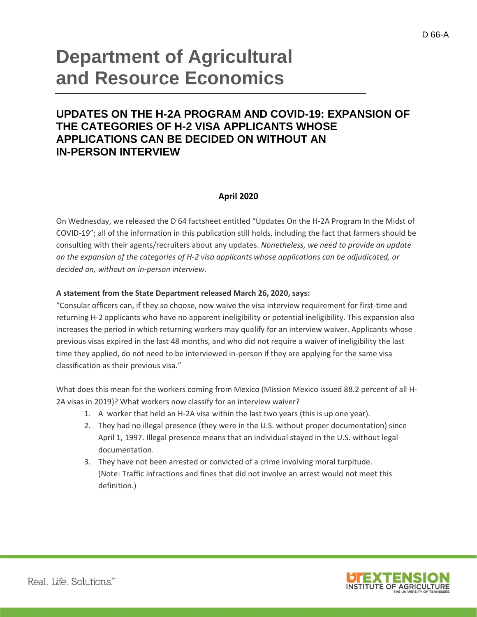# **Department of Agricultural and Resource Economics**

# **UPDATES ON THE H-2A PROGRAM AND COVID-19: EXPANSION OF THE CATEGORIES OF H-2 VISA APPLICANTS WHOSE APPLICATIONS CAN BE DECIDED ON WITHOUT AN IN-PERSON INTERVIEW**

## **April 2020**

On Wednesday, we released the D 64 factsheet entitled "Updates On the H-2A Program In the Midst of COVID-19"; all of the information in this publication still holds, including the fact that farmers should be consulting with their agents/recruiters about any updates. *Nonetheless, we need to provide an update on the expansion of the categories of H-2 visa applicants whose applications can be adjudicated, or decided on, without an in-person interview.*

### **A statement from the State Department released March 26, 2020, says:**

"Consular officers can, if they so choose, now waive the visa interview requirement for first-time and returning H-2 applicants who have no apparent ineligibility or potential ineligibility. This expansion also increases the period in which returning workers may qualify for an interview waiver. Applicants whose previous visas expired in the last 48 months, and who did not require a waiver of ineligibility the last time they applied, do not need to be interviewed in-person if they are applying for the same visa classification as their previous visa."

What does this mean for the workers coming from Mexico (Mission Mexico issued 88.2 percent of all H-2A visas in 2019)? What workers now classify for an interview waiver?

- 1. A worker that held an H-2A visa within the last two years (this is up one year).
- 2. They had no illegal presence (they were in the U.S. without proper documentation) since April 1, 1997. Illegal presence means that an individual stayed in the U.S. without legal documentation.
- 3. They have not been arrested or convicted of a crime involving moral turpitude. (Note: Traffic infractions and fines that did not involve an arrest would not meet this definition.)